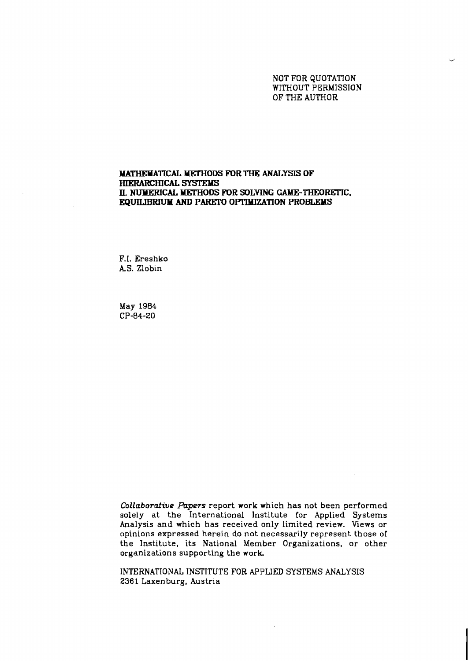NOT FOR QUOTATION WITHOUT PERMISSION OF THE AUTHOR

# **MATHEXATICAL MEI'HODS FOR THE ANALYSIS OF HIWARCHICAL** *SrSrEMs*  **II. NUMERICAL MEI'HODS POR SOLVING GAME-THEORFIIC. EQUILlBRTUM AND PARETO OPTIMIZATION PROBLEMS**

F.I. Ereshko **AS.** Zlobin

May **1984 CP-84-20** 

Collaborative Papers report work which has not been performed solely at the International Institute for Applied Systems Analysis and which has received only limited review. Views or opinions expressed herein do not necessarily represent those of the Institute, its National Member Organizations, or other organizations supporting the work

INTERNATIONAL INSTITUTE FOR APPLIED SYSTEMS ANALYSIS **2361** Laxenburg, Austria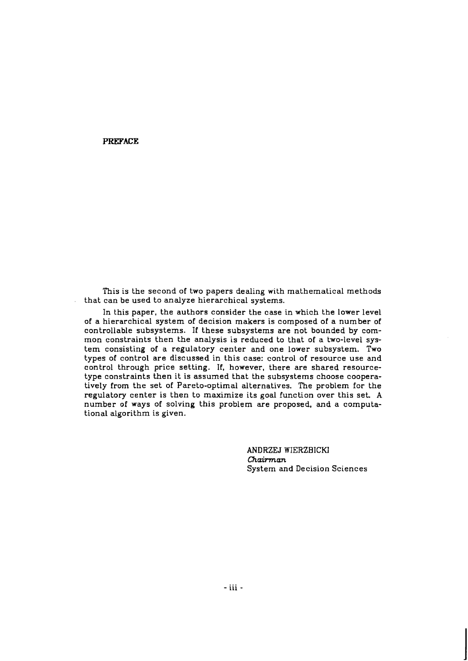**PREFACE** 

This is the second of two papers dealing with mathematical methods that can be used to analyze hierarchical systems.

In this paper, the authors consider the case in which the lower level of a hierarchical system of decision makers is composed of a number of controllable subsystems. If these subsystems are not bounded by common constraints then the analysis is reduced to that of a two-level system consisting of a regulatory center and one lower subsystem. Two types of control are discussed in this case: control of resource use and control through price setting. If, however, there are shared resourcetype constraints then it is assumed that the subsystems choose cooperatively from the set of Pareto-optimal alternatives. The problem for the regulatory center is then to maximize its goal function over this set. **A**  number of ways of solving this problem are proposed, and a computational algorithm is given.

> ANDRZEJ WIERZBICKl *Chairman*  System and Decision Sciences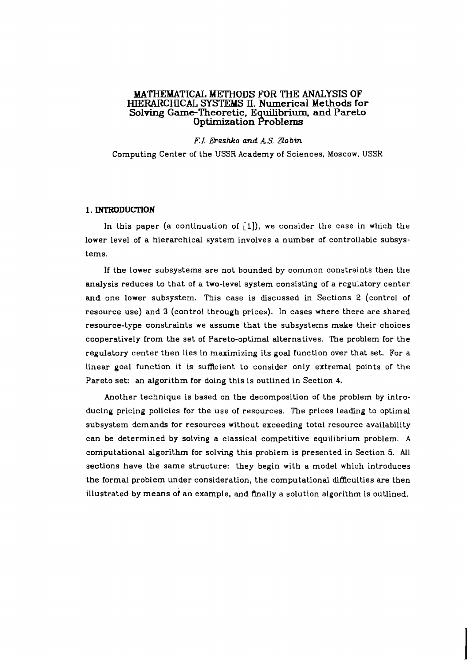# **MATHEMATICAL METHODS FOR THE ANALYSIS OF HZERARCHtCAL SYSTEMS II. Numerical Methods for**  Solving Game-Theoretic, Equilibrium, and Pareto **Optimization Problems**

*F.I.* **Ereshko and** *A.S.* **Zlobin** 

Computing Center of the USSR Academy of Sciences, Moscow, USSR

## **1. INTRODUCTION**

In this paper (a continuation of  $[1]$ ), we consider the case in which the lower level of a hierarchical system involves a number of controllable subsystems.

If the lower subsystems are not bounded by common constraints then the analysis reduces to that of a two-level system consisting of a regulatory center **and** one lower subsystem. This case is discussed in Sections 2 (control of resource use) and 3 (control through prices). In cases where there are shared resource-type constraints we assume that the subsystems make their choices cooperatively from the set of Pareto-optimal alternatives. The problem for the regulatory center then lies in maximizing its goal function over that set. For a linear goal function it is sufficient to consider only extremal points of the Pareto set: an algorithm for doing this is outlined in Section 4.

Another technique is based on the decomposition of the problem by introducing pricing policies for the use of resources. The prices leading to optimal subsystem demands for resources without exceeding total resource availability can be determined by solving a classical competitive equilibrium problem. **A**  computational algorithm for solving this problem is presented in Section **5.** All sections have the same structure: they begin with a model which introduces the formal problem under consideration, the computational diffculties are then illustrated by means of an example. and finally a solution algorithm is outlined.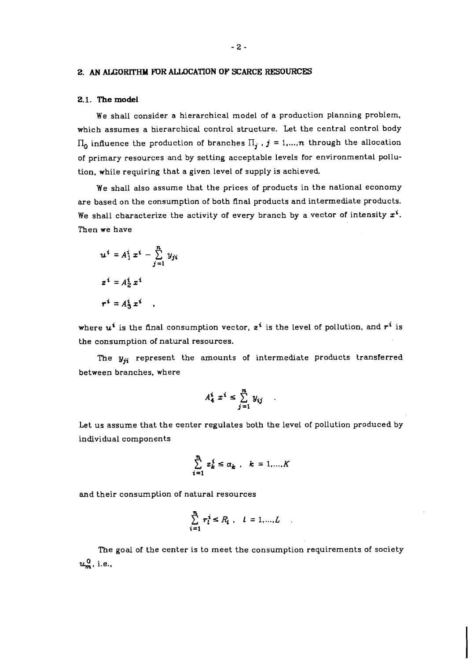### **2. AN ALGORITHM FOR ALLOCATION OF SCARCE RESOURCES**

# **2.1. The model**

We shall consider a hierarchical model of a production planning problem. which assumes a hierarchical control structure. Let the central control body  $\Pi_0$  influence the production of branches  $\Pi_j$  ,  $j = 1,...,n$  through the allocation of primary resources and by setting acceptable levels for environmental pollution, while requiring that a given level of supply is achieved.

We shall also assume that the prices of products in the national economy are based on the consumption of both final products and intermediate products. We shall characterize the activity of every branch by a vector of intensity  $x^i$ . Then we have

$$
u^{i} = A_{1}^{i} x^{i} - \sum_{j=1}^{n} y_{ji}
$$
  

$$
z^{i} = A_{2}^{i} x^{i}
$$
  

$$
r^{i} = A_{3}^{i} x^{i}
$$

where  $u^i$  is the final consumption vector,  $z^i$  is the level of pollution, and  $r^i$  is the consumption of natural resources.

The  $y_{ji}$  represent the amounts of intermediate products transferred between branches, where

$$
A_4^i x^i \leq \sum_{j=1}^n y_{ij}
$$

Let us assume that the center regulates both the level of pollution produced by individual components

$$
\sum_{i=1}^{n} z_k^i \leq \alpha_k, \quad k = 1,...,K
$$

and their consumption of natural resources

$$
\sum_{i=1}^n r_l^i \le R_l \quad l = 1,...,L
$$

The goal of the center is to meet the consumption requirements of society  $u_m^0$ , i.e.,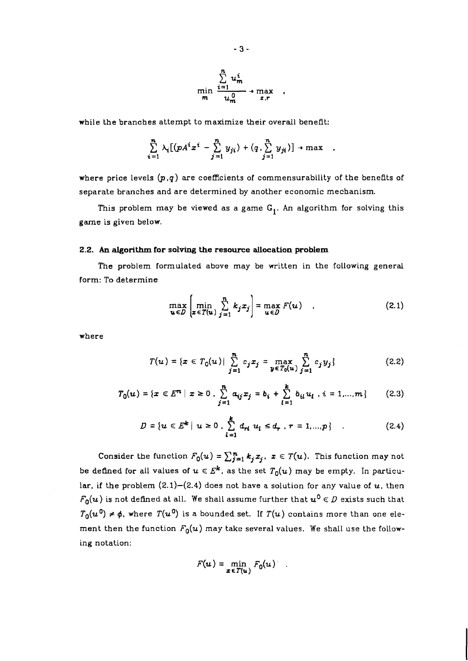$$
\min_{m} \frac{\sum_{i=1}^{n} u_m^i}{u_m^{0}} \to \max_{z,r} ,
$$

while the branches attempt to maximize their overall benefit:

$$
\sum_{i=1}^n \lambda_i \big[ (p A^i x^i - \sum_{j=1}^n y_{ji}) + (q \cdot \sum_{j=1}^n y_{ji}) \big] \rightarrow \max \quad ,
$$

where price levels  $(p,q)$  are coefficients of commensurability of the benefits of separate branches and are determined by another economic mechanism.

This problem may be viewed as a game  $G_1$ . An algorithm for solving this game is given below.

## **2.2. An algorithm for solving the resource allocation problem**

The problem formulated above may be written in the following general form: To determine

$$
\max_{\mathbf{u}\in D} \left[ \min_{\mathbf{z}\in T(\mathbf{u})} \sum_{j=1}^{n} k_j x_j \right] = \max_{\mathbf{u}\in D} F(\mathbf{u}) \quad . \tag{2.1}
$$

where

$$
T(u) = \{x \in T_0(u) | \sum_{j=1}^n c_j x_j = \max_{y \in T_0(u)} \sum_{j=1}^n c_j y_j \}
$$
 (2.2)

$$
T_0(u) = \{x \in E^n \mid x \ge 0 \mid \sum_{j=1}^n a_{ij} x_j = b_i + \sum_{l=1}^k b_{il} u_l \mid i = 1,...,m\}
$$
 (2.3)

$$
D = \{ u \in E^k \mid u \ge 0, \sum_{l=1}^k d_{rl} u_l \le d_r, r = 1,...,p \} \tag{2.4}
$$

Consider the function  $F_0(u) = \sum_{j=1}^n k_j x_j$ ,  $x \in T(u)$ . This function may not be defined for all values of  $u \in E^k$ , as the set  $T_0(u)$  may be empty. In particular, if the problem  $(2.1)$ - $(2.4)$  does not have a solution for any value of  $u$ , then  $F_0(u)$  is not defined at all. We shall assume further that  $u^0 \in D$  exists such that  $T_0(u^0) \neq \phi$ , where  $T(u^0)$  is a bounded set. If  $T(u)$  contains more than one element then the function  $F_0(u)$  may take several values. We shall use the following notation:

$$
F(u) = \min_{\pmb{x} \in T(u)} F_0(u) \quad .
$$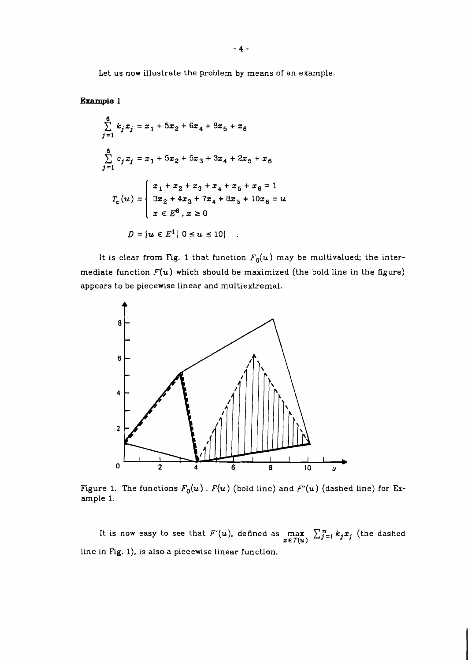Let us now illustrate the problem by means of an example.

# **Example 1**

$$
\sum_{j=1}^{6} k_j x_j = x_1 + 5x_2 + 6x_4 + 8x_5 + x_6
$$
  

$$
\sum_{j=1}^{6} c_j x_j = x_1 + 5x_2 + 5x_3 + 3x_4 + 2x_5 + x_6
$$
  

$$
T_c(u) = \begin{cases} x_1 + x_2 + x_3 + x_4 + x_5 + x_6 = 1 \\ 3x_2 + 4x_3 + 7x_4 + 8x_5 + 10x_6 = u \\ x \in E^6, x \ge 0 \end{cases}
$$
  

$$
D = \{u \in E^1 | 0 \le u \le 10\}
$$

It is clear from Fig. 1 that function  $F_0(u)$  may be multivalued; the intermediate function  $F(u)$  which should be maximized (the bold line in the figure) appears to be piecewise linear and multiextremal.



Figure 1. The functions  $F_0(u)$ ,  $F(u)$  (bold line) and  $F'(u)$  (dashed line) for Example 1.

It is now easy to see that  $F'(u)$ , defined as  $\max_{\bm{z} \in T(\bm{u})} \sum_{j=1}^n k_j x_j$  (the dashed line in Fig. I), is also a piecewise linear function.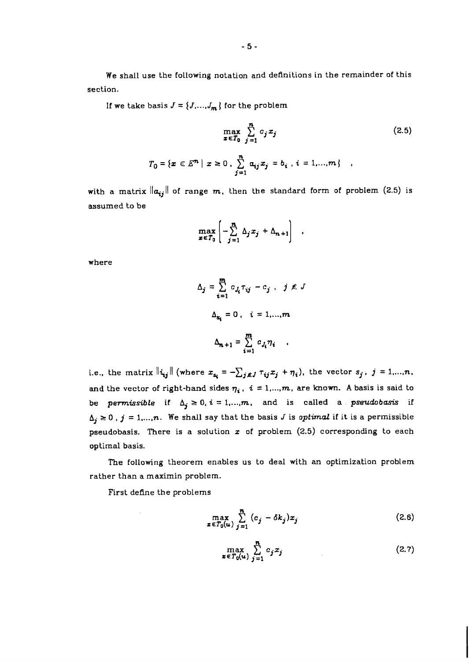We shall use the following notation and definitions in the remainder of this section.

If we take basis  $J = \{J,...,J_m\}$  for the problem

$$
\max_{x \in T_0} \sum_{j=1}^n c_j x_j
$$
\n(2.5)\n
$$
T_0 = \{x \in E^n \mid x \ge 0, \sum_{j=1}^n a_{ij} x_j = b_i, i = 1,...,m\}
$$

with a matrix  $\|\boldsymbol{a}_{ij}\|$  of range m, then the standard form of problem (2.5) is assumed to be

$$
\max_{x \in T_0} \left[ -\sum_{j=1}^n \Delta_j x_j + \Delta_{n+1} \right]
$$

where

$$
\Delta_j = \sum_{i=1}^m c_{j_i} \tau_{ij} - c_j, \quad j \notin J
$$

$$
\Delta_{s_i} = 0, \quad i = 1, ..., m
$$

$$
\Delta_{n+1} = \sum_{i=1}^m c_{j_i} \eta_i
$$

i.e., the matrix  $\|\dot{\mathbf{u}}_{ij}\|$  (where  $\mathbf{x}_{\mathbf{s_i}} = -\sum_{j \in J} \tau_{ij} x_j + \eta_i$ ), the vector  $s_j$ ,  $j = 1,...,n$ , and the vector of right-hand sides  $\eta_i$ ,  $i = 1,...,m$ , are known. A basis is said to be *permissible* if  $\Delta_j \geq 0$ ,  $i = 1,...,m$ , and is called a *pseudobasis* if  $\Delta_j \geq 0$ ,  $j = 1,...,n$ . We shall say that the basis *J* is *optimal* if it is a permissible pseudobasis. There is a solution **z** of problem (2.5) corresponding to each optimal basis.

**The** following theorem enables us to deal with an optimization problem rather than a maximin problem.

First define the problems

$$
\max_{\boldsymbol{x} \in T_0(\boldsymbol{u})} \sum_{j=1}^n (c_j - \delta k_j) x_j \tag{2.6}
$$

$$
\max_{\boldsymbol{z}\in T_0(u)}\sum_{j=1}^n c_j x_j \tag{2.7}
$$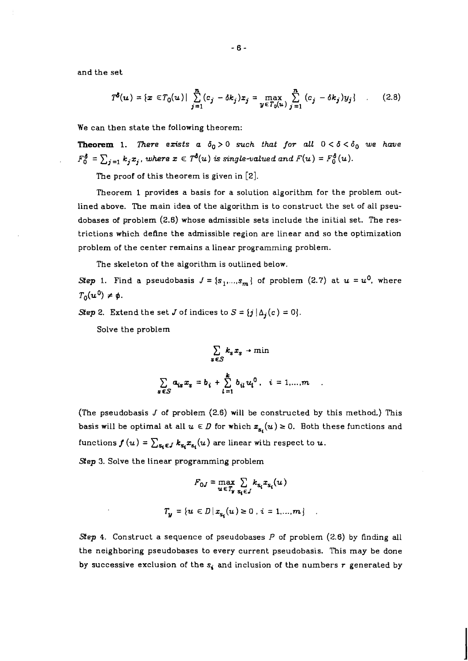and the set

$$
T^{\delta}(u) = \{x \in T_0(u) | \sum_{j=1}^n (c_j - \delta k_j) x_j = \max_{y \in T_0(u)} \sum_{j=1}^n (c_j - \delta k_j) y_j \} \qquad (2.8)
$$

We can then state the following theorem:

**Theorem 1.** *There exists a*  $\delta_0 > 0$  *such that for all*  $0 < \delta < \delta_0$  we have  $F_0^{\delta} = \sum_{j=1} k_j x_j$ , where  $x \in T^{\delta}(u)$  is single-valued and  $F(u) = F_0^{\delta}(u)$ .

The proof of this theorem is given in **[2].** 

Theorem 1 provides a basis for a solution algorithm for the problem outlined above. The main idea of the algorithm is to construct the set of all pseudobases of problem *(2.6)* whose admissible sets include the initial set. The restrictions which define the admissible region are linear and so the optimization problem of the center remains a linear programming problem.

The skeleton of the algorithm is outlined below.

*Step 1.* Find a pseudobasis  $J = \{s_1, ..., s_m\}$  of problem (2.7) at  $u = u^0$ , where  $T_0(u^0) \neq \phi$ .

*Step 2.* Extend the set *J* of indices to  $S = \{j | \Delta_j(c) = 0\}$ *.* 

Solve the problem

$$
\sum_{s \in S} k_s x_s \rightarrow \min
$$
  

$$
\sum_{s \in S} a_{is} x_s = b_i + \sum_{l=1}^k b_{il} u_l^0, \quad i = 1,...,m
$$

(The pseudobasis J of problem *(2.6)* will be constructed by this method) This basis will be optimal at all  $u \in D$  for which  $x_{s_i}(u) \ge 0$ . Both these functions and functions  $f(u) = \sum_{s_i \in J} k_{s_i} x_{s_i}(u)$  are linear with respect to  $u$ .

*Step* **3.** Solve the Linear programming problem

$$
F_{0J} = \max_{u \in T_y} \sum_{s_i \in J} k_{s_i} x_{s_i}(u)
$$

$$
T_y = \{u \in D \mid x_{s_i}(u) \ge 0, i = 1,...,m\}
$$

*Step 4.* Construct a sequence of pseudobases *P* of problem *(2.6)* by tinding all the neighboring pseudobases to every current pseudobasis. This may be done by successive exclusion of the *s,* and inclusion of the numbers *r* generated by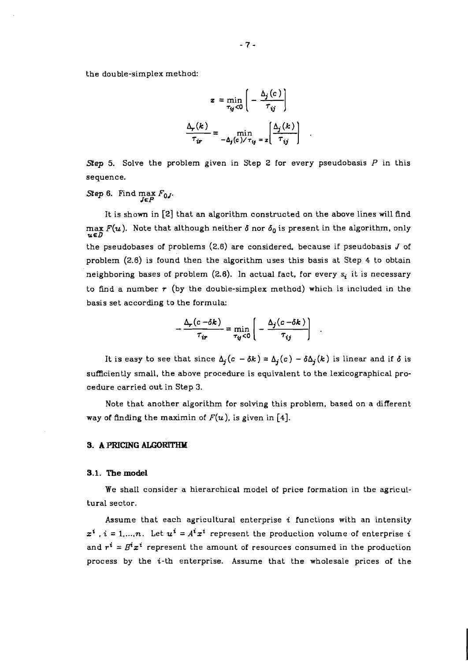the double-simplex method:

$$
z = \min_{\tau_{ij} < 0} \left( -\frac{\Delta_j(c)}{\tau_{ij}} \right)
$$
\n
$$
\frac{\Delta_r(k)}{\tau_{ir}} = \min_{-\Delta_j(c) < \tau_{ij}} z \left( \frac{\Delta_j(k)}{\tau_{ij}} \right)
$$

*Step 5.* Solve the problem given in Step 2 for every pseudobasis P in this sequence.

*Step 6.* Find max  $F_{0}$ *J*.

It is shown in **[2]** that an algorithm constructed on the above lines will find  $max F(u)$ . Note that although neither  $\delta$  nor  $\delta_0$  is present in the algorithm, only the pseudobases of problems  $(2.6)$  are considered, because if pseudobasis J of problem (2.6) is found then the algorithm uses this basis at Step 4 to obtain neighboring bases of problem  $(2.6)$ . In actual fact, for every  $s_i$  it is necessary to find a number *r* (by the double-simplex method) which is included in the basis set according to the formula:

$$
-\frac{\Delta_r(c-\delta k)}{\tau_{ir}} = \min_{\tau_{ij}<0}\left(-\frac{\Delta_j(c-\delta k)}{\tau_{ij}}\right)
$$

It is easy to see that since  $\Delta_j(c - \delta k) = \Delta_j(c) - \delta \Delta_j(k)$  is linear and if  $\delta$  is sufficiently small, the above procedure is equivalent to the lexicographical procedure carried out in Step **3.** 

Note that another algorithm for solving this problem, based on a different way of finding the maximin of  $F(u)$ , is given in [4].

## **3. A PRICING** ALGORITHM

#### **3.1. The model**

We shall consider a hierarchical model of price formation in the agricultural sector.

Assume that each agricultural enterprise **i** functions with an intensity  $x^{i}$ ,  $i = 1,...,n$ . Let  $u^{i} = A^{i}x^{i}$  represent the production volume of enterprise i and  $r^i = B^i x^i$  represent the amount of resources consumed in the production process by the *i*-th enterprise. Assume that the wholesale prices of the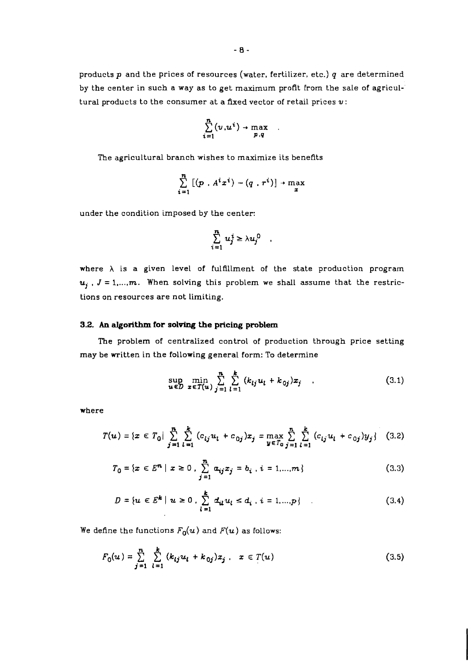products  $p$  and the prices of resources (water, fertilizer, etc.)  $q$  are determined by the center in such a way as to get maximum profit From the sale of agricultural products to the consumer at a fixed vector of retail prices **v:** 

$$
\sum_{i=1}^n (v, u^i) \rightarrow \max_{p,q}
$$

 $\ddot{\phantom{0}}$ 

The agricultural branch wishes to maximize its benefits

$$
\sum_{i=1}^n \left[ (p \cdot A^i x^i) - (q \cdot r^i) \right] \rightarrow \max_x
$$

under the condition imposed by the center:

$$
\sum_{i=1}^n u_j^i \geq \lambda u_j^0 \quad ,
$$

where  $\lambda$  is a given level of fulfillment of the state production program  $u_j$ ,  $J = 1,...,m$ . When solving this problem we shall assume that the restrictions on resources are not limiting.

# **3.2.** An **algorithm for solving the pricing problem**

**The** problem of centralized control of production through price setting may be written in the following general form: To determine

$$
\sup_{u \in D} \min_{x \in T(u)} \sum_{j=1}^{n} \sum_{l=1}^{k} (k_{lj} u_l + k_{0j}) x_j \quad .
$$
 (3.1)

where

$$
T(u) = \{x \in T_0 | \sum_{j=1}^n \sum_{l=1}^k (c_{lj} u_l + c_{0j}) x_j = \max_{y \in T_0} \sum_{j=1}^n \sum_{l=1}^k (c_{lj} u_l + c_{0j}) y_j \} \quad (3.2)
$$

$$
T_0 = \{x \in E^n \mid x \ge 0, \sum_{j=1}^n a_{ij} x_j = b_i, i = 1,...,m\}
$$
 (3.3)

$$
D = \{ u \in E^k \mid u \ge 0, \sum_{l=1}^k d_{il} u_l \le d_i, i = 1,...,p \}
$$
 (3.4)

We define the functions  $F_0(u)$  and  $F(u)$  as follows:

$$
F_0(u) = \sum_{j=1}^{n} \sum_{l=1}^{k} (k_{lj}u_l + k_{0j})x_j, \quad x \in T(u)
$$
 (3.5)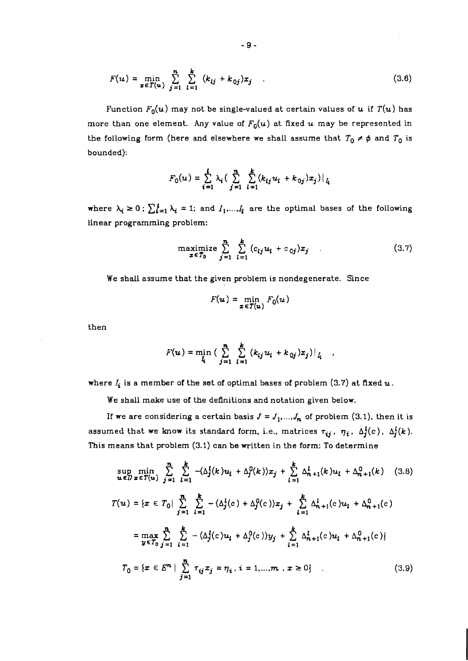$$
F(u) = \min_{x \in T(u)} \sum_{j=1}^{n} \sum_{l=1}^{k} (k_{lj} + k_{0j}) x_j
$$
 (3.6)

Function  $F_0(u)$  may not be single-valued at certain values of u if  $T(u)$  has more than one element. Any value of  $F_0(u)$  at fixed u may be represented in the following form (here and elsewhere we shall assume that  $T_0 \neq \phi$  and  $T_0$  is bounded):

$$
F_0(u) = \sum_{i=1}^t \lambda_i \Big( \sum_{j=1}^n \sum_{l=1}^k (k_{lj} u_l + k_{0j}) x_j \Big) \Big|_{l_i}
$$

where  $\lambda_i \geq 0$ ;  $\sum_{i=1}^{t} \lambda_i = 1$ ; and  $I_1,...,I_t$  are the optimal bases of the following linear programming problem:

$$
\begin{array}{ll}\n\text{maximize} & \sum_{j=1}^{n} \sum_{l=1}^{k} (c_{lj} u_l + c_{0j}) x_j \\
\text{where} & \sum_{j=1}^{n} \sum_{l=1}^{k} (c_{lj} u_l + c_{0j}) x_j\n\end{array} \tag{3.7}
$$

We shall assume that the given problem is nondegenerate. Since

$$
F(\boldsymbol{u}) = \min_{\boldsymbol{x} \in T(\boldsymbol{u})} F_0(\boldsymbol{u})
$$

then

$$
F(u) = \min_{l} \left( \sum_{j=1}^{n} \sum_{l=1}^{k} (k_{lj} u_l + k_{0j}) x_j \right) \big|_{l}
$$

where  $I_i$  is a member of the set of optimal bases of problem (3.7) at fixed  $u$ .

We shall make use of the definitions and notation given below.

If we are considering a certain basis  $J = J_1, ..., J_n$  of problem (3.1), then it is assumed that we know its standard form, i.e., matrices  $\tau_{ij}$ ,  $\eta_i$ ,  $\Delta_i^l(c)$ ,  $\Delta_j^l(k)$ . This means that problem (3.1) can be written in the form: To determine

$$
\sup_{u \in D} \min_{x \in T(u)} \sum_{j=1}^{n} \sum_{l=1}^{k} -(\Delta_j^l(k)u_l + \Delta_j^0(k))x_j + \sum_{l=1}^{k} \Delta_{n+1}^l(k)u_l + \Delta_{n+1}^0(k) \quad (3.8)
$$

$$
T(u) = \{x \in T_0 | \sum_{j=1}^{n} \sum_{l=1}^{k} -(\Delta_j^l(c) + \Delta_j^0(c))x_j + \sum_{l=1}^{k} \Delta_{n+1}^l(c)u_l + \Delta_{n+1}^0(c)
$$
  

$$
= \max_{y \in T_0} \sum_{j=1}^{n} \sum_{l=1}^{k} -(\Delta_j^l(c)u_l + \Delta_j^0(c))y_j + \sum_{l=1}^{k} \Delta_{n+1}^l(c)u_l + \Delta_{n+1}^0(c)
$$
  

$$
T_0 = \{x \in E^n | \sum_{j=1}^{n} \tau_{ij}x_j = \eta_i, i = 1,...,m, x \ge 0\}
$$
 (3.9)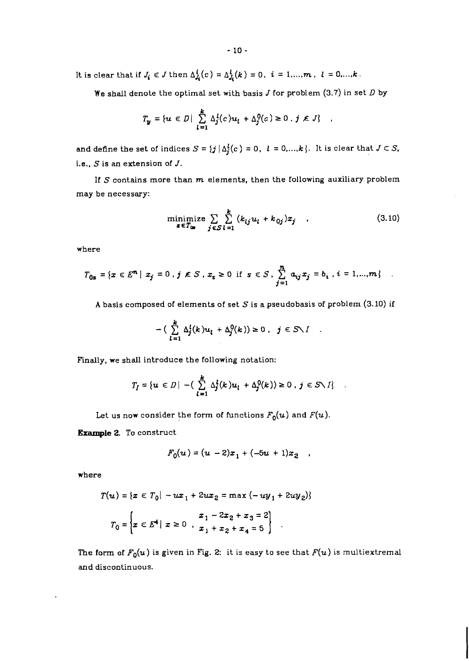It is clear that if  $J_i \in J$  then  $\Delta_{J_i}^l(c) = \Delta_{J_i}^l(k) = 0$ ,  $i = 1, ..., m$ ,  $l = 0, ..., k$ .

We shall denote the optimal set with basis J for problem (3.7) in set **D** by

$$
T_{\mathbf{y}} = \{ u \in D \mid \sum_{l=1}^{k} \Delta_{j}^{l}(c) u_{l} + \Delta_{j}^{0}(c) \ge 0, j \notin J \}
$$

and define the set of indices  $S = \{j \mid \Delta_j^l(c) = 0, l = 0, ..., k\}$ . It is clear that  $J \subset S$ . i.e., *<sup>S</sup>*is an extension of J.

If *S* contains more than m elements, then the following auxiliary problem may be necessary:

minimize 
$$
\sum_{\mathbf{z} \in T_{0\bullet}} \sum_{j \in S} \sum_{l=1}^{k} (k_{lj} u_l + k_{0j}) x_j
$$
 (3.10)

 $\pmb{\cdot}$ 

where

$$
T_{0s} = \{x \in E^{n} \mid x_{j} = 0, j \notin S, x_{s} \ge 0 \text{ if } s \in S, \sum_{j=1}^{n} a_{ij} x_{j} = b_{i}, i = 1,...,m\} .
$$

**A** basis composed of elements of set *S* is a pseudobasisof problem *(3.10)* if

$$
-(\sum_{l=1}^k \Delta_j^l(k)u_l + \Delta_j^0(k)) \geq 0, \quad j \in S \setminus I
$$

Finally, we shall introduce the following notation:

$$
T_I = \{ u \in D \mid - \left( \sum_{l=1}^k \Delta_j^l(k) u_l + \Delta_j^0(k) \right) \geq 0, \ j \in S \setminus I \} \quad .
$$

Let us now consider the form of functions  $F_0(u)$  and  $F(u)$ .

**Example** 2. To construct

$$
F_0(u) = (u - 2)x_1 + (-5u + 1)x_2 ,
$$

where

$$
T(u) = \{x \in T_0 | -ux_1 + 2ux_2 = \max(-uy_1 + 2uy_2)\}
$$

$$
T_0 = \left\{x \in E^4 | x \ge 0, \frac{x_1 - 2x_2 + x_3 = 2}{x_1 + x_2 + x_4 = 5}\right\}
$$

The form of  $F_0(u)$  is given in Fig. 2: it is easy to see that  $F(u)$  is multiextremal *and* discontinuous.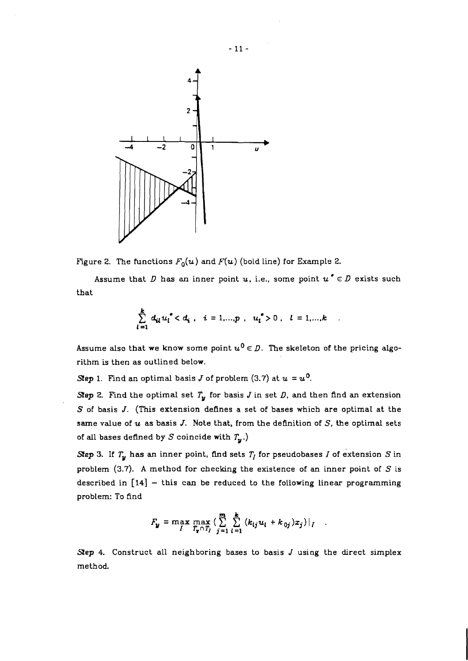

Figure 2. The functions  $F_0(u)$  and  $F(u)$  (bold line) for Example 2.

Assume that *D* has an inner point *u*, i.e., some point  $u^* \in D$  exists such that

$$
\sum_{l=1}^{k} d_{il} u_{l}^{*} < d_{i} , i = 1,...,p , u_{l}^{*} > 0 , l = 1,...,k
$$

Assume also that we know some point  $u^0 \in D$ . The skeleton of the pricing algorithm is then as outlined below.

*Step* 1. Find an optimal basis *J* of problem (3.7) at  $u = u^0$ .

*Step* 2. Find the optimal set  $T_y$  for basis *J* in set *D*, and then find an extension  $S$  of basis  $J$ . (This extension defines a set of bases which are optimal at the same value of  $u$  as basis J. Note that, from the definition of  $S$ , the optimal sets of all bases defined by  $S$  coincide with  $T_{\mathbf{y}}$ .)

*Step* 3. If  $T_y$  has an inner point, find sets  $T_I$  for pseudobases *I* of extension *S* in problem (3.7). A method for checking the existence of an inner point of **S** is described in  $\lceil 14 \rceil$  - this can be reduced to the following linear programming problem: To find

$$
F_{y} = \max_{I} \max_{T_{y} \cap T_{I}} \left( \sum_{j=1}^{m} \sum_{l=1}^{k} (k_{lj} u_{l} + k_{0j}) x_{j} \right) |_{I}
$$

*Sep 4.* Construct all neighboring bases to basis J using the direct simplex method.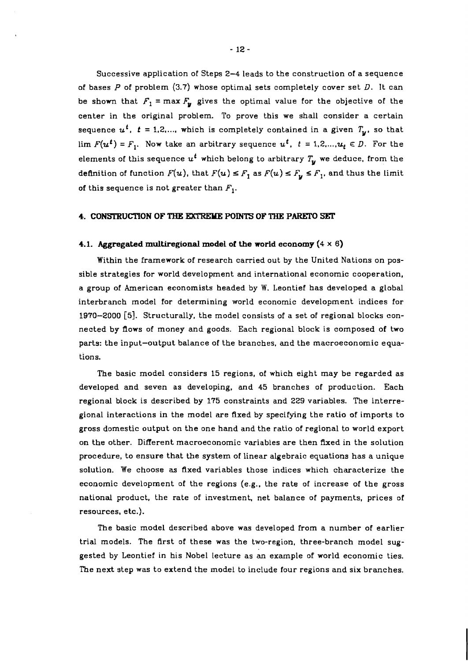Successive application of Steps 2-4 leads to the construction of a sequence of bases  $P$  of problem  $(3.7)$  whose optimal sets completely cover set  $D$ . It can be shown that  $F_1 = \max F_u$  gives the optimal value for the objective of the center in the original problem. To prove this we shall consider a certain sequence  $u^t$ ,  $t = 1,2,...$ , which is completely contained in a given  $T_u$ , so that lim  $F(u^t) = F_1$ . Now take an arbitrary sequence  $u^t$ ,  $t = 1, 2, ..., u_t \in D$ . For the elements of this sequence  $u^t$  which belong to arbitrary  $T_u$  we deduce, from the definition of function  $F(u)$ , that  $F(u) \leq F_1$  as  $F(u) \leq F_u \leq F_1$ , and thus the limit of this sequence is not greater than  $F_1$ .

### **4. CONSTRUCTION OF THE EXTREME POINTS OF THE PARETO SET**

#### **4.1. Aggregated multiregional model of the world economy** (4 **x 6)**

Within the framework of research carried out by the United Nations on possible strategies for world development and international economic cooperation, a group of American economists headed by W. Leontief has developed a global interbranch model for determining world economic development indices for **1970-2000 [5].** Structurally, the model consists of a set of regional blocks connected by flows of money and goods. Each regional block is composed of two parts: the input-output balance of the branches, and the macroeconomic equations.

The basic model considers 15 regions, of which eight may be regarded as developed and seven as developing, and 45 branches of production. Each regional block is described by **175** constraints and 229 variables. The interregional interactions in the model are fixed by specifying the ratio of imports to gross domestic output on the one hand and the ratio of regional to world export on the other. Different macroeconomic variables are then Axed in the solution procedure, to ensure that the system of linear algebraic equations has a unique solution. We choose **as** fixed variables those indices which characterize the economic development of the regions (e.g., the rate of increase of the gross national product, the rate of investment, net balance of payments, prices of resources, etc.).

The basic model described above was developed from a number of earlier trial models. The first of these was the two-region, three-branch model suggested by Leontief in his Nobel lecture as an example of world economic ties. The next step was to extend the model to include four regions and six branches.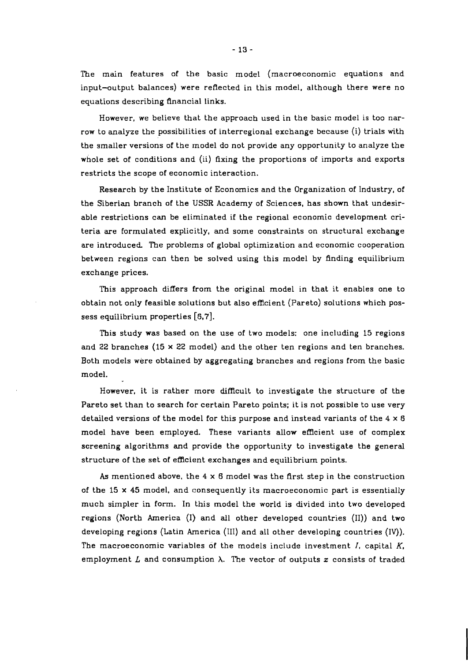The main features of the basic model (macroeconomic equations and input-output balances) were reflected in this model. although there were no equations describing financial links.

However, we believe that the approach used in the basic model is too narrow to analyze the possibilities of interregional exchange because (i) trials with the smaller versions of the model do not provide any opportunity to analyze the whole set of conditions and (ii) fixing the proportions of imports and exports restricts the scope of economic interaction.

Research by the Institute of Economics and the Organization of Industry, of the Siberian branch of the **USSR** Academy of Sciences, has shown that undesirable restrictions can be eliminated if the regional economic development criteria are formulated explicitly, and some constraints on structural exchange are introduced. The problems of global optimization and economic cooperation between regions can then be solved using this model by finding equilibrium exchange prices.

This approach differs from the original model in that it enables one to obtain not only feasible solutions but also efficient (Pareto) solutions which possess equilibrium properties **[6,7].** 

This study was based on the use of two models: one including 15 regions and 22 branches (15 **x** 22 model) and the other ten regions and ten branches. Both models were obtained by aggregating branches and regions from the basic model.

However, it is rather more difficult to investigate the structure of the Pareto set than to search for certain Pareto points; it is not possible to use very detailed versions of the model for this purpose and instead variants of the 4 **x** 6 model have been employed. These variants allow efficient use of complex screening algorithms and provide the opportunity to investigate the general structure of the set of efficient exchanges and equilibrium points.

As mentioned above, the 4 **x** 6 model was the first step in the construction of the 15 **x** 45 model, and consequently its macroeconomic part is essentially much simpler in form. In this model the world is divided into two developed regions (North America (I) and all other developed countries (11)) and two developing regions (Latin America (111) and all other developing countries (IV)). The macroeconomic variables of the models include investment I, capital **K,**  employment  $L$  and consumption  $\lambda$ . The vector of outputs  $x$  consists of traded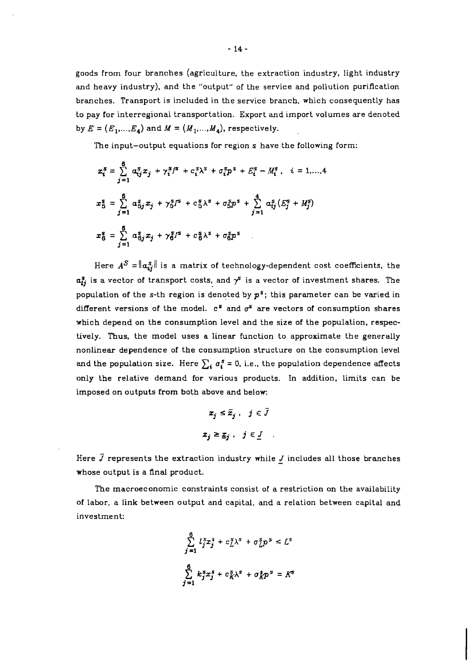goods from four branches (agriculture, the extraction industry, light industry and heavy industry), and the "output" of the service and pollution purification branches. Transport is included in the service branch, which consequently has to pay for interregional transportation. Export and import volumes are denoted by  $E = (E_1, \ldots, E_4)$  and  $M = (M_1, \ldots, M_4)$ , respectively.

The input-output equations for region s have the following form:

$$
x_i^s = \sum_{j=1}^6 \alpha_{ij}^s x_j + \gamma_i^s I^s + c_i^s \lambda^s + \sigma_i^s p^s + E_i^s - M_i^s, \quad i = 1,...,4
$$
  

$$
x_5^s = \sum_{j=1}^6 \alpha_{5j}^s x_j + \gamma_5^s I^s + c_5^s \lambda^s + \sigma_5^s p^s + \sum_{j=1}^4 \alpha_{ij}^s (E_j^s + M_j^s)
$$
  

$$
x_6^s = \sum_{j=1}^6 \alpha_{6j}^s x_j + \gamma_6^s I^s + c_6^s \lambda^s + \sigma_6^s p^s
$$

Here  $A^S = ||a_{ij}^s||$  is a matrix of technology-dependent cost coefficients, the  $a_{ij}^s$  is a vector of transport costs, and  $\gamma^s$  is a vector of investment shares. The population of the s-th region is denoted by *pS;* this parameter can be varied in different versions of the model.  $c^s$  and  $\sigma^s$  are vectors of consumption shares which depend on the consumption level and the size of the population, respectively. Thus. the model uses a linear function to approximate the generally nonlinear dependence of the consumption structure on the consumption level and the population size. Here  $\sum_i \sigma_i^s = 0$ , i.e., the population dependence affects only the relative demand for various products. In addition. limits can be imposed on outputs from both above and below.

$$
x_j \leq \bar{x}_j, \quad j \in \bar{J}
$$
  

$$
x_i \geq \bar{x}_i, \quad j \in \bar{J}
$$

Here  $\vec{J}$  represents the extraction industry while  $\underline{J}$  includes all those branches whose output is a final product.

The macroeconomic constraints consist of a restriction on the availability of labor, a link between output and capital, and a relation between capital and investment:

$$
\sum_{j=1}^{6} l_j^s x_j^s + c_L^s \lambda^s + \sigma_L^s p^s \le L^s
$$
  

$$
\sum_{j=1}^{6} k_j^s x_j^s + c_K^s \lambda^s + \sigma_R^s p^s = K^s
$$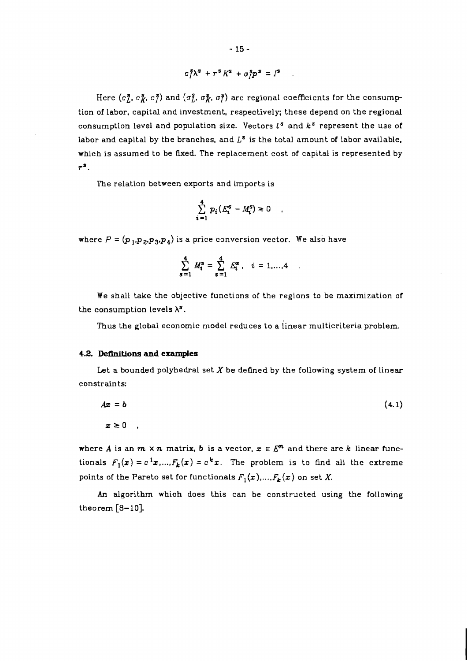$$
c_I^s \lambda^s + \tau^s K^s + \sigma_I^s p^s = I^s
$$

Here  $(c_i^s, c_i^s, c_i^s)$  and  $(\sigma_i^s, \sigma_i^s)$  are regional coefficients for the consumption of labor, capital and investment, respectively; these depend on the regional consumption level and population size. Vectors  $l^s$  and  $k^s$  represent the use of labor and capital by the branches, and  $L^s$  is the total amount of labor available. which is assumed to be fixed. The replacement cost of capital is represented by  $r^s$ .

The relation between exports and imports is

$$
\sum_{i=1}^4 p_i \left( E_i^s - M_i^s \right) \ge 0
$$

where  $P = (p_1, p_2, p_3, p_4)$  is a price conversion vector. We also have

$$
\sum_{s=1}^{4} M_i^s = \sum_{s=1}^{4} E_i^s, \quad i = 1,...,4
$$

We shall take the objective functions of the regions to be maximization of the consumption levels  $\lambda^s$ .

Thus the global economic model reduces to a iinear multicriteria problem.

# **4.2. Definitions and examples**

Let a bounded polyhedral set  $X$  be defined by the following system of linear constraints:

$$
Ax = b \tag{4.1}
$$
\n
$$
x \ge 0
$$

where A is an  $m \times n$  matrix, **b** is a vector,  $x \in E^n$  and there are k linear functionals  $F_1(x) = c^1 x, ..., F_k(x) = c^k x$ . The problem is to find all the extreme points of the Pareto set for functionals  $F_1(x),..., F_k(x)$  on set X.

An algorithm which does this can be constructed using the following theorem  $[8-10]$ .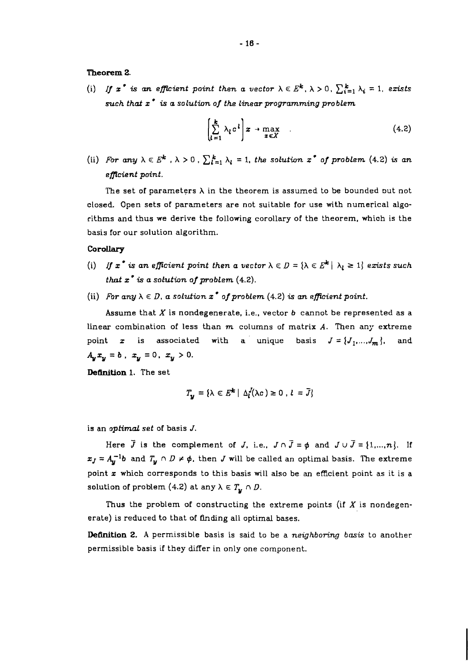# **Theorem 2.**

(i) If  $x^*$  is an efficient point then a vector  $\lambda \in E^k$ ,  $\lambda > 0$ ,  $\sum_{i=1}^k \lambda_i = 1$ , exists *such thaf* **z is** *a solution of the linear programming problem* 

$$
\left[\sum_{l=1}^{k} \lambda_l c^l\right] x \to \max_{x \in X} \tag{4.2}
$$

(ii) *For any*  $\lambda \in E^k$  ,  $\lambda > 0$  ,  $\sum_{i=1}^k \lambda_i = 1$ , the solution  $x^*$  of problem (4.2) is an *eflcient point.* 

The set of parameters  $\lambda$  in the theorem is assumed to be bounded but not closed. Open sets of parameters are not suitable for use with numerical algorithms and thus we derive the following corollary of the theorem, which is the basis for our solution algorithm.

# **Corollary**

- (i) If  $x^*$  is an efficient point then a vector  $\lambda \in D = {\lambda \in E^k \mid \lambda_l \geq 1}$  exists such *that*  $x^*$  *is a solution of problem*  $(4.2)$ *.*
- (ii) For any  $\lambda \in D$ , a solution  $x^*$  of problem (4.2) is an efficient point.

Assume that *X* is nondegenerate, i.e., vector *b* cannot be represented as a linear combination of less than *m* columns of matrix A. Then any extreme point **z** is associated with a unique basis  $J = \{J_1, ..., J_m\}$ , and  $A_y x_y = b$ ,  $x_y = 0$ ,  $x_y > 0$ .

**Definition** 1. The set

$$
T_{\nu} = \{ \lambda \in E^{\mathbf{k}} \mid \Delta_l^{J}(\lambda c) \geq 0 \, , \, l = \overline{J} \}
$$

is an *optimal set* of basis *J.* 

Here  $\overline{J}$  is the complement of  $J$ , i.e.,  $J \cap \overline{J} = \phi$  and  $J \cup \overline{J} = \{1, ..., n\}$ . If  $x_J = A_u^{-1}b$  and  $T_u \cap D \neq \emptyset$ , then *J* will be called an optimal basis. The extreme point **z** which corresponds to this basis will also be an efficient point as it is a solution of problem (4.2) at any  $\lambda \in T_{\mathbf{v}} \cap D$ .

Thus the problem of constructing the extreme points (if  $X$  is nondegenerate) is reduced to that of finding all optimal bases.

**Definition 2.** A permissible basis is said to be a *neighboring basis* to another permissible basis if they differ in only one component.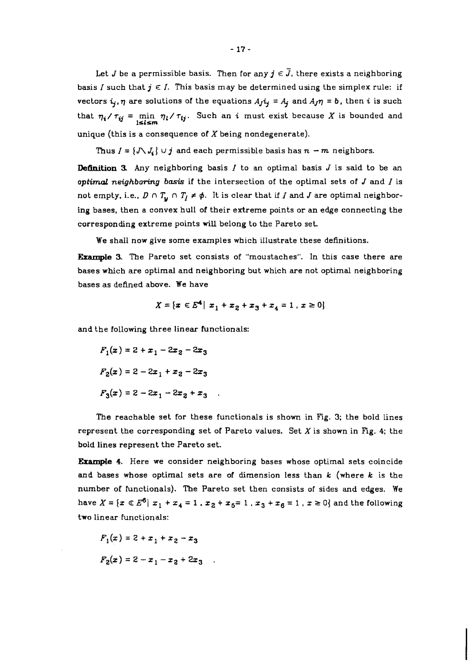Let *J* be a permissible basis. Then for any  $j \in \overline{J}$ , there exists a neighboring basis I such that  $j \in I$ . This basis may be determined using the simplex rule: if vectors  $i_j$ ,  $\eta$  are solutions of the equations  $A_j i_j = A_j$  and  $A_j \eta = b$ , then *i* is such that  $\eta_i / \tau_{ij} = \min_{1 \leq l \leq m} \eta_l / \tau_{lj}$ . Such an *i* must exist because X is bounded and unique (this is a consequence of  $X$  being nondegenerate).

Thus  $I = \{J \setminus J_i\}$   $\cup j$  and each permissible basis has  $n - m$  neighbors.

**Definition 3** Any neighboring basis I to an optimal basis J is said to be an optimal *neighboring basis* if the intersection of the optimal sets of J and I is not empty, i.e.,  $D \cap T_u \cap T_l \neq \phi$ . It is clear that if I and I are optimal neighboring bases, then a convex hull of their extreme points or an edge connecting the corresponding extreme points will belong to the Pareto set.

We shall now give some examples which illustrate these definitions.

**Ekample** 3. The Pareto set consists of "moustaches". In this case there are bases which are optimal and neighboring but which are not optimal neighboring bases as defined above. We have

$$
X = \{x \in E^4 \mid x_1 + x_2 + x_3 + x_4 = 1, x \ge 0\}
$$

and the following three linear functionals:

$$
F_1(x) = 2 + x_1 - 2x_2 - 2x_3
$$

$$
F_2(x) = 2 - 2x_1 + x_2 - 2x_3
$$

$$
F_3(x) = 2 - 2x_1 - 2x_2 + x_3
$$

The reachable set for these functionals is shown in Fig. **3;** the bold lines represent the corresponding set of Pareto values. Set  $X$  is shown in Fig. 4; the bold lines represent the Pareto set.

*Example* 4. Here we consider neighboring bases whose optimal sets coincide and bases whose optimal sets are of dimension less than  $k$  (where  $k$  is the number of functionals). The Pareto set then consists of sides and edges. We have  $X = \{x \in E^6 | x_1 + x_4 = 1$ ,  $x_2 + x_5 = 1$ ,  $x_3 + x_6 = 1$ ,  $x \ge 0\}$  and the following two linear functionals:

$$
F_1(x) = 2 + x_1 + x_2 - x_3
$$

$$
F_2(x) = 2 - x_1 - x_2 + 2x_3
$$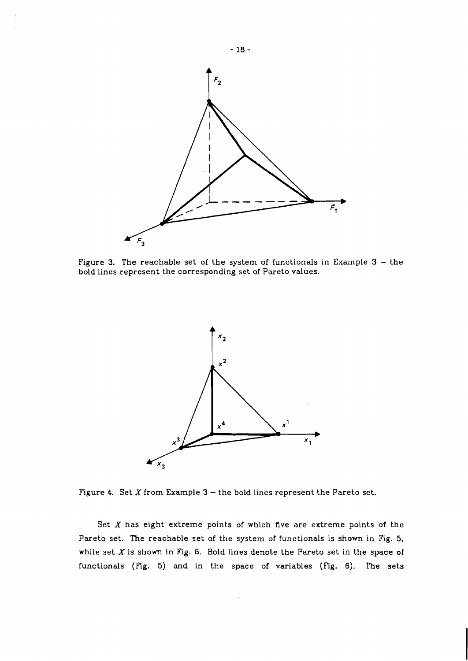

Figure 3. The reachable set of the system of functionals in Example  $3 -$  the bold lines represent the corresponding set of Pareto values.



Figure 4. Set  $X$  from Example  $3$  - the bold lines represent the Pareto set.

Set **X** has eight extreme points of which five are extreme points of the Pareto set. The reachable set of the system of functionals is shown in Fig. 5, while set  $X$  is shown in Fig. 6. Bold lines denote the Pareto set in the space of functionals (Ffg. 5) and in the space of variables (Fig. 6). The sets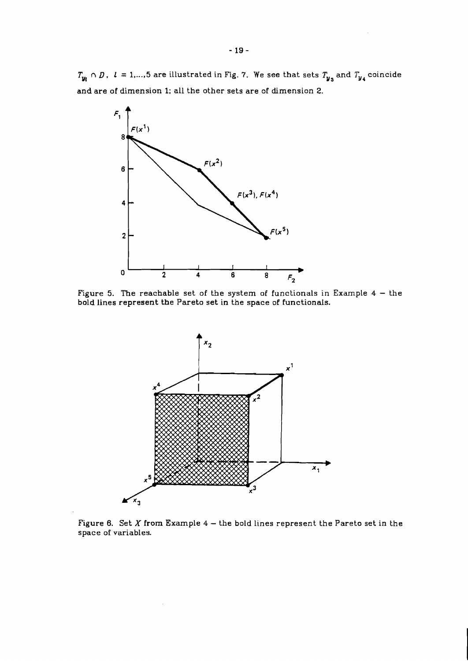$T_{y_i} \cap D$ ,  $l = 1,..., 5$  are illustrated in Fig. 7. We see that sets  $T_{y_3}$  and  $T_{y_4}$  coincide and are of dimension 1; all the other sets are of dimension 2.



Figure 5. The reachable set of the system of functionals in Example 4 - the bold lines represent the Pareto set in the space of functionals.



Figure 6. Set  $X$  from Example 4 - the bold lines represent the Pareto set in the space of variables.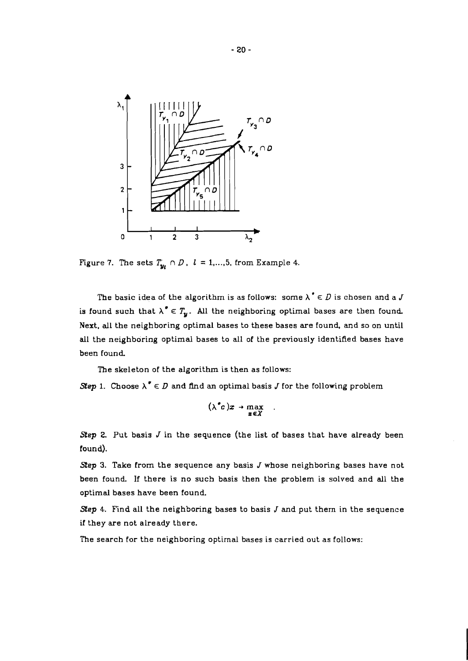

Figure 7. The sets  $T_{\mathbf{u}} \cap D$ ,  $l = 1, ..., 5$ , from Example 4.

The basic idea of the algorithm is as follows: some  $\lambda^* \in D$  is chosen and a J is found such that  $\lambda^* \in T_u$ . All the neighboring optimal bases are then found. Next, all the neighboring optimal bases to these bases **are** found. and so on until all the neighboring optimal bases to all of the previously identified bases have been found.

The skeleton of the algorithm is then as follows:

*Step* 1. Choose  $\lambda^* \in D$  and find an optimal basis *J* for the following problem

$$
(\lambda^{\bullet}c)x\rightarrow \max_{x\in X}
$$

*Step* 2. Put basis *J* in the sequence (the list of bases that have already been found).

*Step* 3. Take from the sequence any basis *J* whose neighboring bases have not been found. If there is no such basis then the problem is solved and all the optimal bases have been found.

*Sep* 4. Find all the neighboring bases to basis J and put thern in the sequence if they are not already there.

The search for the neighboring optirnal bases is carried out as follows: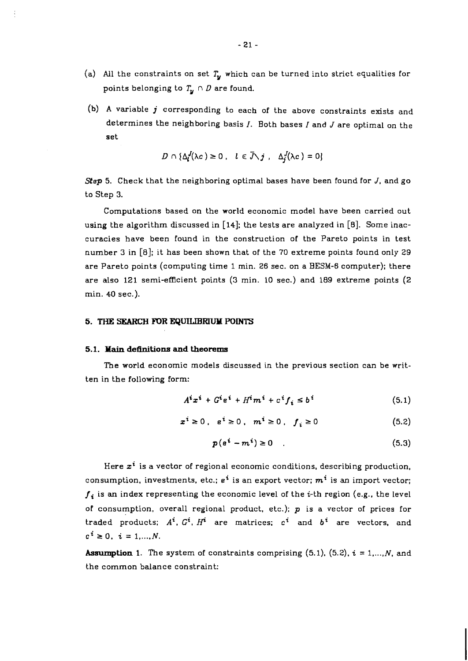- (a) All the constraints on set  $T_y$  which can be turned into strict equalities for points belonging to  $T_u \cap D$  are found.
- (b) **A** variable **j** corresponding to each of the above constraints exists and determines the neighboring basis I. Both bases *1* and J are optimal on the set

$$
D \cap \{\Delta_l^{J}(\lambda c) \geq 0, \quad l \in \bar{J} \setminus j, \quad \Delta_l^{J}(\lambda c) = 0\}
$$

*Step* 5. Check that the neighboring optimal bases have been found for J, and go to Step **3.** 

Computations based on the world economic model have been carried out using the algorithm discussed in [14]; the tests are analyzed in **[El.** Some inaccuracies have been found in the construction of the Pareto points in test number **3** in [a]; it has been shown that of the 70 extreme points found only 29 are Pareto points (computing time 1 min. 26 sec. on a BESM-6 computer); there are also 121 semi-efficient points **(3** min. 10 sec.) and 189 extreme points (2 min. 40 sec.).

### **5. THE** SEARCH **FOR EQUILIBRIUM POINTS**

## **5.1. Main definitions and theorems**

The world economic models discussed in the previous section can be written in the following form:

$$
Aixi + Giei + Himi + cifi \le bi
$$
 (5.1)

$$
x^{i} \ge 0, \quad e^{i} \ge 0, \quad m^{i} \ge 0, \quad f_{i} \ge 0 \tag{5.2}
$$

$$
p(e^i - m^i) \ge 0 \tag{5.3}
$$

Here **zi** is a vector of regional economic conditions, describing production, consumption, investments, etc.;  $e^{i}$  is an export vector;  $m^{i}$  is an import vector;  $f_i$  is an index representing the economic level of the *i*-th region (e.g., the level of consumption, overall regional product, etc.);  $p$  is a vector of prices for traded products;  $A^i$ ,  $G^i$ ,  $H^i$  are matrices;  $c^i$  and  $b^i$  are vectors, and  $c^{i} \ge 0$ ,  $i = 1,..., N$ .

**Assumption 1.** The system of constraints comprising  $(5.1)$ ,  $(5.2)$ ,  $i = 1,...,N$ , and the common balance constraint: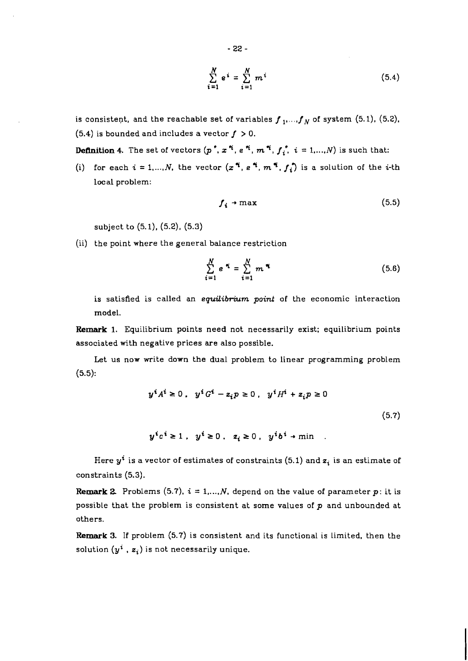$$
\sum_{i=1}^{N} e^{i} = \sum_{i=1}^{N} m^{i}
$$
 (5.4)

is consistent, and the reachable set of variables  $f_1$ ,...,  $f_N$  of system (5.1), (5.2), (5.4) is bounded and includes a vector  $f > 0$ .

**Definition 4.** The set of vectors  $(p^*$ ,  $x^*$ ,  $e^*$ ,  $m^*$ ,  $f_i^*$ ,  $i = 1,...,N$ ) is such that:

(i) for each  $i = 1, ..., N$ , the vector  $(x^{i}, e^{i}, m^{i}, f_{i})$  is a solution of the *i*-th local problem:

$$
f_i \rightarrow \max \tag{5.5}
$$

subject to (5.1), (5.2), (5.3)

(ii) the point where the general balance restriction

$$
\sum_{i=1}^{N} e^{i\mathbf{r}_i} = \sum_{i=1}^{N} m^{i\mathbf{r}_i}
$$
 (5.6)

is satisfied is called an equilibrium point of the economic interaction model.

**Remark 1.** Equilibrium points need not necessarily exist; equilibrium points associated with negative prices are also possible.

Let us now write down the dual problem to linear programming problem (5.5):

$$
y^{i}A^{i} \ge 0, \quad y^{i}G^{i} - z_{i}p \ge 0, \quad y^{i}H^{i} + z_{i}p \ge 0
$$
\n
$$
(5.7)
$$
\n
$$
y^{i}c^{i} \ge 1, \quad y^{i} \ge 0, \quad z_{i} \ge 0, \quad y^{i}b^{i} \to \min
$$

Here  $y^i$  is a vector of estimates of constraints (5.1) and  $z_i$  is an estimate of constraints (5.3).

**Remark 2.** Problems (5.7),  $i = 1,...,N$ , depend on the value of parameter  $p$ : it is possible that the problem is consistent at some values of  $p$  and unbounded at others.

**Remark 3.** If problem (5.7) is consistent and its functional is limited, then the solution  $(y^i, z_i)$  is not necessarily unique.

$$
-22 -
$$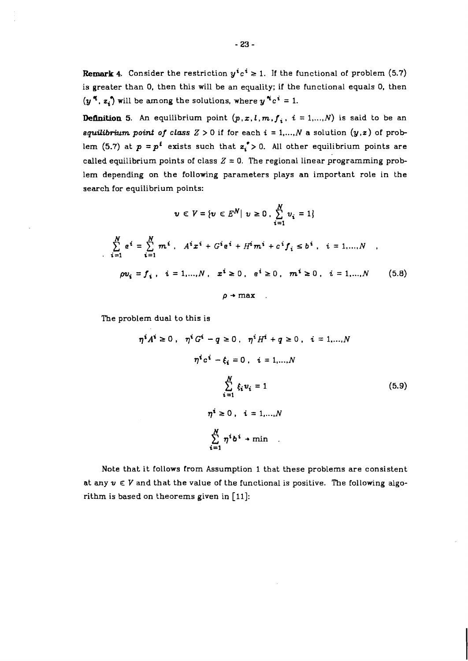**Remark 4.** Consider the restriction  $y^i c^i \geq 1$ . If the functional of problem (5.7) is greater than **0,** then this will be an equality; if the functional equals **0,** then  $(y^{\pi}, z_i)$  will be among the solutions, where  $y^{\pi}c^i = 1$ .

**Definition 5.** An equilibrium point  $(p, x, l, m, f_i, i = 1, ..., N)$  is said to be an **equilibrium point of class**  $Z > 0$  if for each  $i = 1,..., N$  a solution  $(y, z)$  of problem (5.7) at  $p = p^t$  exists such that  $z_i > 0$ . All other equilibrium points are called equilibrium points of class  $Z = 0$ . The regional linear programming problem depending on the following parameters plays an important role in the search for equilibrium points:

$$
v \in V = \{v \in E^N | v \ge 0, \sum_{i=1}^N v_i = 1\}
$$
  

$$
\sum_{i=1}^N e^i = \sum_{i=1}^N m^i, A^i x^i + G^i e^i + H^i m^i + c^i f_i \le b^i, i = 1,...,N
$$
  

$$
\rho v_i = f_i, i = 1,...,N, x^i \ge 0, e^i \ge 0, m^i \ge 0, i = 1,...,N
$$
 (5.8)  

$$
\rho \rightarrow \max
$$

The problem dual to this is

$$
\eta^{i} A^{i} \ge 0, \quad \eta^{i} G^{i} - q \ge 0, \quad \eta^{i} H^{i} + q \ge 0, \quad i = 1,...,N
$$
  

$$
\eta^{i} c^{i} - \xi_{i} = 0, \quad i = 1,...,N
$$
  

$$
\sum_{i=1}^{N} \xi_{i} u_{i} = 1
$$
  

$$
\eta^{i} \ge 0, \quad i = 1,...,N
$$
  

$$
\sum_{i=1}^{N} \eta^{i} b^{i} + \min
$$
 (5.9)

Note that it follows from Assumption 1 that these problems are consistent at any  $v \in V$  and that the value of the functional is positive. The following algorithm is based on theorems given in  $\lceil 11 \rceil$ :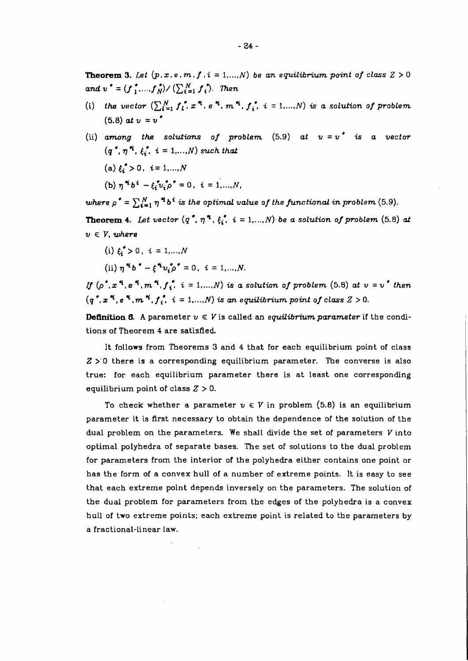**Theorem 3.** Let  $(p, x, e, m, f, i = 1, ..., N)$  be an equilibrium point of class  $Z > 0$ *and*  $v^* = (f^*_{1},...,f^*_{N}) / (\sum_{i=1}^{N} f^*_{i}).$  Then

- (i) the vector  $\left(\sum_{i=1}^{N} f_i^* x^* e^{i} \cdot m^* \cdot f_i^* \cdot i = 1, ..., N\right)$  is a solution of problem  $(5.8)$  *at*  $v = v^*$
- (ii) among the solutions of problem  $(5.9)$  at  $v = v^*$  is a vector  $(q^*, \eta^*; \xi^*, i = 1, \ldots, N)$  *such that*  $(a) \xi_i^* > 0, \ i = 1, ..., N$

(b) 
$$
\eta^{\alpha_i} b^i - \xi_i^* v_i^* \rho^* = 0, i = 1,...,N
$$

*where*  $\rho^* = \sum_{i=1}^N \eta^* b^i$  is the optimal value of the functional in problem (5.9).

**Theorem 4.** Let vector  $(q^*, \eta^*, \xi_i^*, i = 1, ..., N)$  be a solution of problem (5.8) at  $v \in V$ , where

(i)  $\xi^* > 0$ ,  $i = 1,...,N$ 

(ii) 
$$
\eta^{*} b^{*} - \xi^{*} v_{i}^{\bullet} \rho^{*} = 0, i = 1,...,N.
$$

*If*  $(p^*, x^*, e^*, m^*, f_i^*, i = 1, ..., N)$  is a solution of problem (5.8) at  $v = v^*$  then  $(q^*, x^*, e^*, m^*, f^*_i, i = 1, ..., N)$  is an equilibrium point of class  $Z > 0$ .

**Definition 6.** A parameter  $v \in V$  is called an *equilibrium parameter* if the conditions of Theorem 4 are satisfied.

It follows from Theorems **3** and 4 that for each equilibrium point of class **Z** >'0 there is a corresponding equilibrium parameter. The converse is also true: for each equilibrium parameter there is at least one corresponding equilibrium point of class  $Z > 0$ .

To check whether a parameter  $v \in V$  in problem (5.8) is an equilibrium parameter it is first necessary to obtain the dependence of the solution of the dual problem on the parameters. We shall divide the set of parameters  $V$  into optimal polyhedra of separate bases. The set of solutions to the dual problem for parameters from the interior of the polyhedra either contains one point or has the form of a convex hull of a number of extreme points. It is easy to see that each extreme point depends inversely on the parameters. The solution of the dual problem for parameters from the edges of the polyhedra is a convex hull of two extreme points; each extreme point is related to the parameters by a fractional-linear law.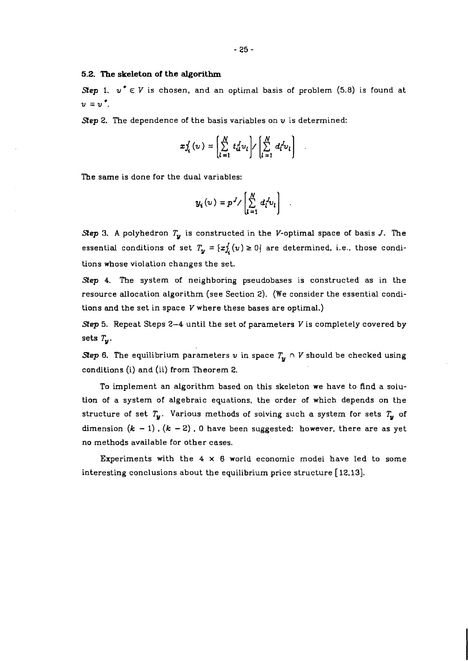# **5.2. The skeleton of the algorithm**

**Step 1.**  $v^* \in V$  is chosen, and an optimal basis of problem (5.8) is found at  $v = v^{\bullet}$ .

**Step 2.** The dependence of the basis variables on  $v$  is determined:

$$
x_{J_i}^J(v) = \left(\sum_{l=1}^N t_{il}^J v_l\right) / \left(\sum_{l=1}^N d_l^J v_l\right)
$$

**The** same is done for the dual variables:

$$
y_i(v) = p^J / \left[ \sum_{l=1}^N d_l^{J} v_l \right]
$$

**Step 3. A** polyhedron **Ty** is constructed in the V-optimal space of basis J. **The**  essential conditions of set  $T_{\bm{y}} = \{x_{J_{\bm{i}}}^{J}(v) \ge 0\}$  are determined, i.e., those conditions whose violation changes the set.

**Step** 4. The system of neighboring pseudobases is constructed as in the resource allocation algorithm (see Section 2). (We consider the essential conditions and the set in space V where these bases are optimal.)

**Step 5.** Repeat Steps 2-4 until the set of parameters V is completely covered by sets  $T_{\boldsymbol{u}}$ .

**Step 6.** The equilibrium parameters  $v$  in space  $T_u \cap V$  should be checked using conditions (i) and (ii) from Theorem 2.

To implement an algorithm based on this skeleton we have to find a solution of a system of algebraic equations, the order of which depends on the structure of set  $T_u$ . Various methods of solving such a system for sets  $T_u$  of dimension  $(k - 1)$ .  $(k - 2)$ . 0 have been suggested: however, there are as yet no methods available for other cases.

Experiments with the 4 **x** 6 world economic model have led to some interesting conclusions about the equilibrium price structure **[12,13].**